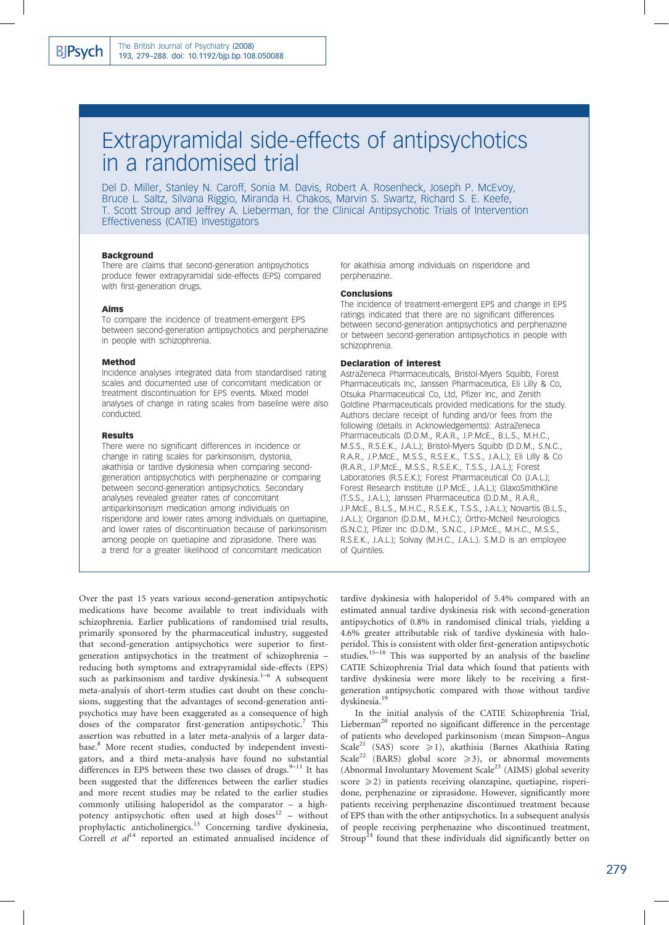# Extrapyramidal side-effects of antipsychotics in a randomised trial

Del D. Miller, Stanley N. Caroff, Sonia M. Davis, Robert A. Rosenheck, Joseph P. McEvoy, Bruce L. Saltz, Silvana Riggio, Miranda H. Chakos, Marvin S. Swartz, Richard S. E. Keefe, T. Scott Stroup and Jeffrey A. Lieberman, for the Clinical Antipsychotic Trials of Intervention Effectiveness (CATIE) Investigators

#### Background

There are claims that second-generation antipsychotics produce fewer extrapyramidal side-effects (EPS) compared with first-generation drugs.

#### Aims

To compare the incidence of treatment-emergent EPS between second-generation antipsychotics and perphenazine in people with schizophrenia.

#### Method

Incidence analyses integrated data from standardised rating scales and documented use of concomitant medication or treatment discontinuation for EPS events. Mixed model analyses of change in rating scales from baseline were also conducted.

#### Results

There were no significant differences in incidence or change in rating scales for parkinsonism, dystonia, akathisia or tardive dyskinesia when comparing secondgeneration antipsychotics with perphenazine or comparing between second-generation antipsychotics. Secondary analyses revealed greater rates of concomitant antiparkinsonism medication among individuals on risperidone and lower rates among individuals on quetiapine, and lower rates of discontinuation because of parkinsonism among people on quetiapine and ziprasidone. There was a trend for a greater likelihood of concomitant medication

for akathisia among individuals on risperidone and perphenazine.

#### Conclusions

The incidence of treatment-emergent EPS and change in EPS ratings indicated that there are no significant differences between second-generation antipsychotics and perphenazine or between second-generation antipsychotics in people with schizophrenia.

## Declaration of interest

AstraZeneca Pharmaceuticals, Bristol-Myers Squibb, Forest Pharmaceuticals Inc, Janssen Pharmaceutica, Eli Lilly & Co, Otsuka Pharmaceutical Co, Ltd, Pfizer Inc, and Zenith Goldline Pharmaceuticals provided medications for the study. Authors declare receipt of funding and/or fees from the following (details in Acknowledgements): AstraZeneca Pharmaceuticals (D.D.M., R.A.R., J.P.McE., B.L.S., M.H.C., M.S.S., R.S.E.K., J.A.L.); Bristol-Myers Squibb (D.D.M., S.N.C., R.A.R., J.P.McE., M.S.S., R.S.E.K., T.S.S., J.A.L.); Eli Lilly & Co (R.A.R., J.P.McE., M.S.S., R.S.E.K., T.S.S., J.A.L.); Forest Laboratories (R.S.E.K.); Forest Pharmaceutical Co (J.A.L.); Forest Research Institute (J.P.McE., J.A.L.); GlaxoSmithKline (T.S.S., J.A.L.); Janssen Pharmaceutica (D.D.M., R.A.R., J.P.McE., B.L.S., M.H.C., R.S.E.K., T.S.S., J.A.L.); Novartis (B.L.S., J.A.L.); Organon (D.D.M., M.H.C.); Ortho-McNeil Neurologics (S.N.C.); Pfizer Inc (D.D.M., S.N.C., J.P.McE., M.H.C., M.S.S., R.S.E.K., J.A.L.); Solvay (M.H.C., J.A.L.). S.M.D is an employee of Quintiles.

Over the past 15 years various second-generation antipsychotic medications have become available to treat individuals with schizophrenia. Earlier publications of randomised trial results, primarily sponsored by the pharmaceutical industry, suggested that second-generation antipsychotics were superior to firstgeneration antipsychotics in the treatment of schizophrenia – reducing both symptoms and extrapyramidal side-effects (EPS) such as parkinsonism and tardive dyskinesia.<sup>1-6</sup> A subsequent meta-analysis of short-term studies cast doubt on these conclusions, suggesting that the advantages of second-generation antipsychotics may have been exaggerated as a consequence of high doses of the comparator first-generation antipsychotic.<sup>7</sup> This assertion was rebutted in a later meta-analysis of a larger database.<sup>8</sup> More recent studies, conducted by independent investigators, and a third meta-analysis have found no substantial differences in EPS between these two classes of drugs. $9-11$  It has been suggested that the differences between the earlier studies and more recent studies may be related to the earlier studies commonly utilising haloperidol as the comparator – a highpotency antipsychotic often used at high doses $12$  – without prophylactic anticholinergics.<sup>13</sup> Concerning tardive dyskinesia, Correll et  $al^{14}$  reported an estimated annualised incidence of tardive dyskinesia with haloperidol of 5.4% compared with an estimated annual tardive dyskinesia risk with second-generation antipsychotics of 0.8% in randomised clinical trials, yielding a 4.6% greater attributable risk of tardive dyskinesia with haloperidol. This is consistent with older first-generation antipsychotic studies.<sup>15–18</sup> This was supported by an analysis of the baseline CATIE Schizophrenia Trial data which found that patients with tardive dyskinesia were more likely to be receiving a firstgeneration antipsychotic compared with those without tardive dyskinesia.<sup>19</sup>

In the initial analysis of the CATIE Schizophrenia Trial, Lieberman<sup>20</sup> reported no significant difference in the percentage of patients who developed parkinsonism (mean Simpson–Angus Scale<sup>21</sup> (SAS) score  $\geqslant$ 1), akathisia (Barnes Akathisia Rating Scale<sup>22</sup> (BARS) global score  $\geq$ 3), or abnormal movements (Abnormal Involuntary Movement Scale<sup>23</sup> (AIMS) global severity score  $\geq$ 2) in patients receiving olanzapine, quetiapine, risperidone, perphenazine or ziprasidone. However, significantly more patients receiving perphenazine discontinued treatment because of EPS than with the other antipsychotics. In a subsequent analysis of people receiving perphenazine who discontinued treatment, Stroup<sup>24</sup> found that these individuals did significantly better on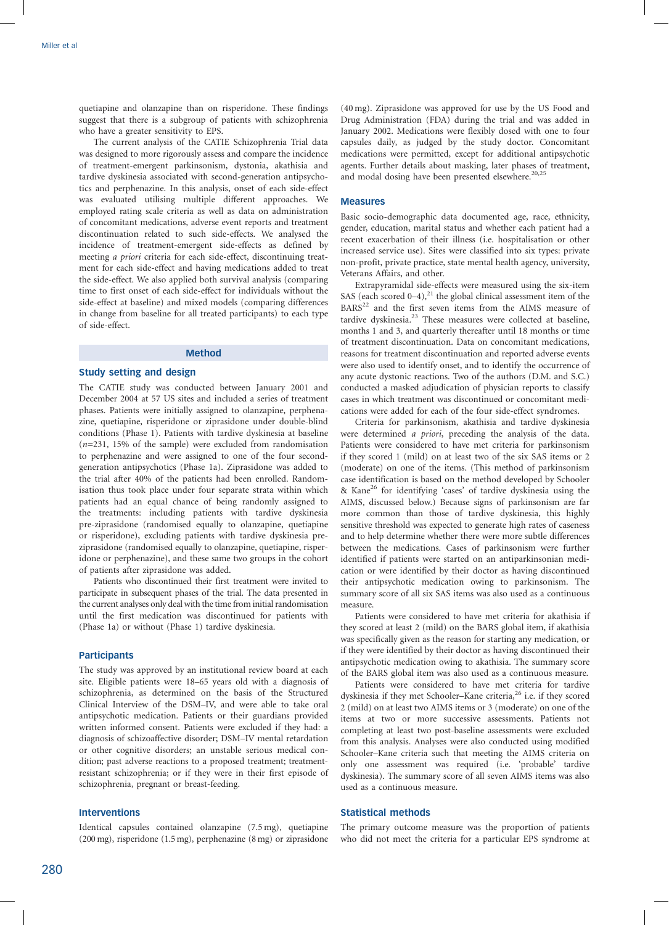quetiapine and olanzapine than on risperidone. These findings suggest that there is a subgroup of patients with schizophrenia who have a greater sensitivity to EPS.

The current analysis of the CATIE Schizophrenia Trial data was designed to more rigorously assess and compare the incidence of treatment-emergent parkinsonism, dystonia, akathisia and tardive dyskinesia associated with second-generation antipsychotics and perphenazine. In this analysis, onset of each side-effect was evaluated utilising multiple different approaches. We employed rating scale criteria as well as data on administration of concomitant medications, adverse event reports and treatment discontinuation related to such side-effects. We analysed the incidence of treatment-emergent side-effects as defined by meeting a priori criteria for each side-effect, discontinuing treatment for each side-effect and having medications added to treat the side-effect. We also applied both survival analysis (comparing time to first onset of each side-effect for individuals without the side-effect at baseline) and mixed models (comparing differences in change from baseline for all treated participants) to each type of side-effect.

# Method

## Study setting and design

The CATIE study was conducted between January 2001 and December 2004 at 57 US sites and included a series of treatment phases. Patients were initially assigned to olanzapine, perphenazine, quetiapine, risperidone or ziprasidone under double-blind conditions (Phase 1). Patients with tardive dyskinesia at baseline  $(n=231, 15\%$  of the sample) were excluded from randomisation to perphenazine and were assigned to one of the four secondgeneration antipsychotics (Phase 1a). Ziprasidone was added to the trial after 40% of the patients had been enrolled. Randomisation thus took place under four separate strata within which patients had an equal chance of being randomly assigned to the treatments: including patients with tardive dyskinesia pre-ziprasidone (randomised equally to olanzapine, quetiapine or risperidone), excluding patients with tardive dyskinesia preziprasidone (randomised equally to olanzapine, quetiapine, risperidone or perphenazine), and these same two groups in the cohort of patients after ziprasidone was added.

Patients who discontinued their first treatment were invited to participate in subsequent phases of the trial. The data presented in the current analyses only deal with the time from initial randomisation until the first medication was discontinued for patients with (Phase 1a) or without (Phase 1) tardive dyskinesia.

#### **Participants**

The study was approved by an institutional review board at each site. Eligible patients were 18–65 years old with a diagnosis of schizophrenia, as determined on the basis of the Structured Clinical Interview of the DSM–IV, and were able to take oral antipsychotic medication. Patients or their guardians provided written informed consent. Patients were excluded if they had: a diagnosis of schizoaffective disorder; DSM–IV mental retardation or other cognitive disorders; an unstable serious medical condition; past adverse reactions to a proposed treatment; treatmentresistant schizophrenia; or if they were in their first episode of schizophrenia, pregnant or breast-feeding.

## Interventions

Identical capsules contained olanzapine (7.5 mg), quetiapine (200 mg), risperidone (1.5mg), perphenazine (8 mg) or ziprasidone (40 mg). Ziprasidone was approved for use by the US Food and Drug Administration (FDA) during the trial and was added in January 2002. Medications were flexibly dosed with one to four capsules daily, as judged by the study doctor. Concomitant medications were permitted, except for additional antipsychotic agents. Further details about masking, later phases of treatment, and modal dosing have been presented elsewhere.<sup>20,25</sup>

#### Measures

Basic socio-demographic data documented age, race, ethnicity, gender, education, marital status and whether each patient had a recent exacerbation of their illness (i.e. hospitalisation or other increased service use). Sites were classified into six types: private non-profit, private practice, state mental health agency, university, Veterans Affairs, and other.

Extrapyramidal side-effects were measured using the six-item SAS (each scored  $0-4$ ),<sup>21</sup> the global clinical assessment item of the BARS<sup>22</sup> and the first seven items from the AIMS measure of tardive dyskinesia. $23$  These measures were collected at baseline, months 1 and 3, and quarterly thereafter until 18 months or time of treatment discontinuation. Data on concomitant medications, reasons for treatment discontinuation and reported adverse events were also used to identify onset, and to identify the occurrence of any acute dystonic reactions. Two of the authors (D.M. and S.C.) conducted a masked adjudication of physician reports to classify cases in which treatment was discontinued or concomitant medications were added for each of the four side-effect syndromes.

Criteria for parkinsonism, akathisia and tardive dyskinesia were determined a priori, preceding the analysis of the data. Patients were considered to have met criteria for parkinsonism if they scored 1 (mild) on at least two of the six SAS items or 2 (moderate) on one of the items. (This method of parkinsonism case identification is based on the method developed by Schooler & Kane<sup>26</sup> for identifying 'cases' of tardive dyskinesia using the AIMS, discussed below.) Because signs of parkinsonism are far more common than those of tardive dyskinesia, this highly sensitive threshold was expected to generate high rates of caseness and to help determine whether there were more subtle differences between the medications. Cases of parkinsonism were further identified if patients were started on an antiparkinsonian medication or were identified by their doctor as having discontinued their antipsychotic medication owing to parkinsonism. The summary score of all six SAS items was also used as a continuous measure.

Patients were considered to have met criteria for akathisia if they scored at least 2 (mild) on the BARS global item, if akathisia was specifically given as the reason for starting any medication, or if they were identified by their doctor as having discontinued their antipsychotic medication owing to akathisia. The summary score of the BARS global item was also used as a continuous measure.

Patients were considered to have met criteria for tardive dyskinesia if they met Schooler-Kane criteria,<sup>26</sup> i.e. if they scored 2 (mild) on at least two AIMS items or 3 (moderate) on one of the items at two or more successive assessments. Patients not completing at least two post-baseline assessments were excluded from this analysis. Analyses were also conducted using modified Schooler–Kane criteria such that meeting the AIMS criteria on only one assessment was required (i.e. 'probable' tardive dyskinesia). The summary score of all seven AIMS items was also used as a continuous measure.

#### Statistical methods

The primary outcome measure was the proportion of patients who did not meet the criteria for a particular EPS syndrome at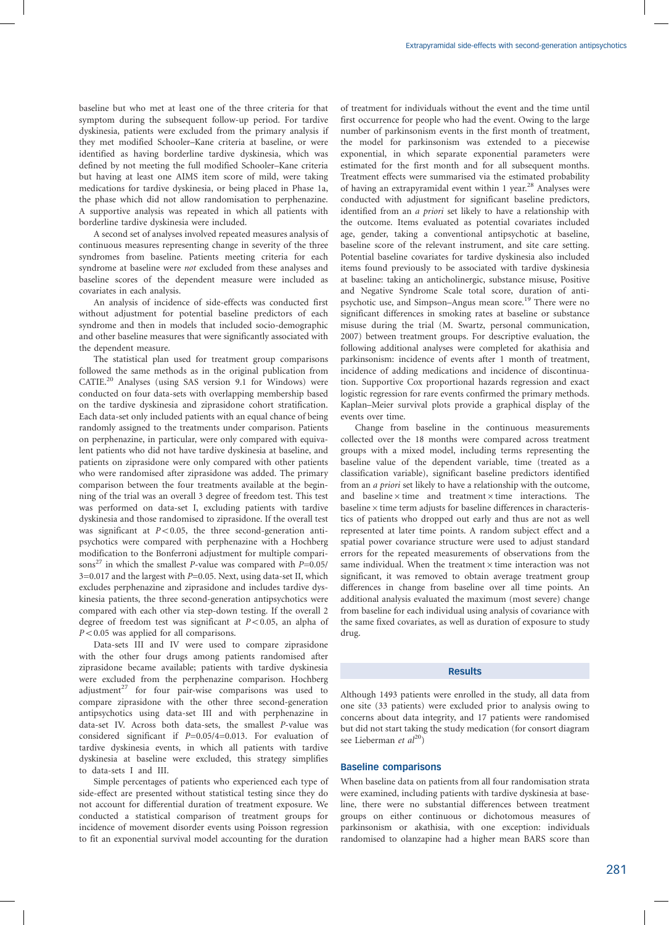baseline but who met at least one of the three criteria for that symptom during the subsequent follow-up period. For tardive dyskinesia, patients were excluded from the primary analysis if they met modified Schooler–Kane criteria at baseline, or were identified as having borderline tardive dyskinesia, which was defined by not meeting the full modified Schooler–Kane criteria but having at least one AIMS item score of mild, were taking medications for tardive dyskinesia, or being placed in Phase 1a, the phase which did not allow randomisation to perphenazine. A supportive analysis was repeated in which all patients with borderline tardive dyskinesia were included.

A second set of analyses involved repeated measures analysis of continuous measures representing change in severity of the three syndromes from baseline. Patients meeting criteria for each syndrome at baseline were not excluded from these analyses and baseline scores of the dependent measure were included as covariates in each analysis.

An analysis of incidence of side-effects was conducted first without adjustment for potential baseline predictors of each syndrome and then in models that included socio-demographic and other baseline measures that were significantly associated with the dependent measure.

The statistical plan used for treatment group comparisons followed the same methods as in the original publication from CATIE.<sup>20</sup> Analyses (using SAS version 9.1 for Windows) were conducted on four data-sets with overlapping membership based on the tardive dyskinesia and ziprasidone cohort stratification. Each data-set only included patients with an equal chance of being randomly assigned to the treatments under comparison. Patients on perphenazine, in particular, were only compared with equivalent patients who did not have tardive dyskinesia at baseline, and patients on ziprasidone were only compared with other patients who were randomised after ziprasidone was added. The primary comparison between the four treatments available at the beginning of the trial was an overall 3 degree of freedom test. This test was performed on data-set I, excluding patients with tardive dyskinesia and those randomised to ziprasidone. If the overall test was significant at  $P < 0.05$ , the three second-generation antipsychotics were compared with perphenazine with a Hochberg modification to the Bonferroni adjustment for multiple comparisons<sup>27</sup> in which the smallest *P*-value was compared with  $P=0.05$ /  $3=0.017$  and the largest with  $P=0.05$ . Next, using data-set II, which excludes perphenazine and ziprasidone and includes tardive dyskinesia patients, the three second-generation antipsychotics were compared with each other via step-down testing. If the overall 2 degree of freedom test was significant at  $P<0.05$ , an alpha of  $P < 0.05$  was applied for all comparisons.

Data-sets III and IV were used to compare ziprasidone with the other four drugs among patients randomised after ziprasidone became available; patients with tardive dyskinesia were excluded from the perphenazine comparison. Hochberg adjustment<sup>27</sup> for four pair-wise comparisons was used to compare ziprasidone with the other three second-generation antipsychotics using data-set III and with perphenazine in data-set IV. Across both data-sets, the smallest P-value was considered significant if P=0.05/4=0.013. For evaluation of tardive dyskinesia events, in which all patients with tardive dyskinesia at baseline were excluded, this strategy simplifies to data-sets I and III.

Simple percentages of patients who experienced each type of side-effect are presented without statistical testing since they do not account for differential duration of treatment exposure. We conducted a statistical comparison of treatment groups for incidence of movement disorder events using Poisson regression to fit an exponential survival model accounting for the duration

of treatment for individuals without the event and the time until first occurrence for people who had the event. Owing to the large number of parkinsonism events in the first month of treatment, the model for parkinsonism was extended to a piecewise exponential, in which separate exponential parameters were estimated for the first month and for all subsequent months. Treatment effects were summarised via the estimated probability of having an extrapyramidal event within 1 year.<sup>28</sup> Analyses were conducted with adjustment for significant baseline predictors, identified from an a priori set likely to have a relationship with the outcome. Items evaluated as potential covariates included age, gender, taking a conventional antipsychotic at baseline, baseline score of the relevant instrument, and site care setting. Potential baseline covariates for tardive dyskinesia also included items found previously to be associated with tardive dyskinesia at baseline: taking an anticholinergic, substance misuse, Positive and Negative Syndrome Scale total score, duration of antipsychotic use, and Simpson-Angus mean score.<sup>19</sup> There were no significant differences in smoking rates at baseline or substance misuse during the trial (M. Swartz, personal communication, 2007) between treatment groups. For descriptive evaluation, the following additional analyses were completed for akathisia and parkinsonism: incidence of events after 1 month of treatment, incidence of adding medications and incidence of discontinuation. Supportive Cox proportional hazards regression and exact logistic regression for rare events confirmed the primary methods. Kaplan–Meier survival plots provide a graphical display of the events over time.

Change from baseline in the continuous measurements collected over the 18 months were compared across treatment groups with a mixed model, including terms representing the baseline value of the dependent variable, time (treated as a classification variable), significant baseline predictors identified from an a priori set likely to have a relationship with the outcome, and baseline  $\times$  time and treatment  $\times$  time interactions. The baseline  $\times$  time term adjusts for baseline differences in characteristics of patients who dropped out early and thus are not as well represented at later time points. A random subject effect and a spatial power covariance structure were used to adjust standard errors for the repeated measurements of observations from the same individual. When the treatment  $\times$  time interaction was not significant, it was removed to obtain average treatment group differences in change from baseline over all time points. An additional analysis evaluated the maximum (most severe) change from baseline for each individual using analysis of covariance with the same fixed covariates, as well as duration of exposure to study drug.

## Results

Although 1493 patients were enrolled in the study, all data from one site (33 patients) were excluded prior to analysis owing to concerns about data integrity, and 17 patients were randomised but did not start taking the study medication (for consort diagram see Lieberman et  $al^{20}$ )

## Baseline comparisons

When baseline data on patients from all four randomisation strata were examined, including patients with tardive dyskinesia at baseline, there were no substantial differences between treatment groups on either continuous or dichotomous measures of parkinsonism or akathisia, with one exception: individuals randomised to olanzapine had a higher mean BARS score than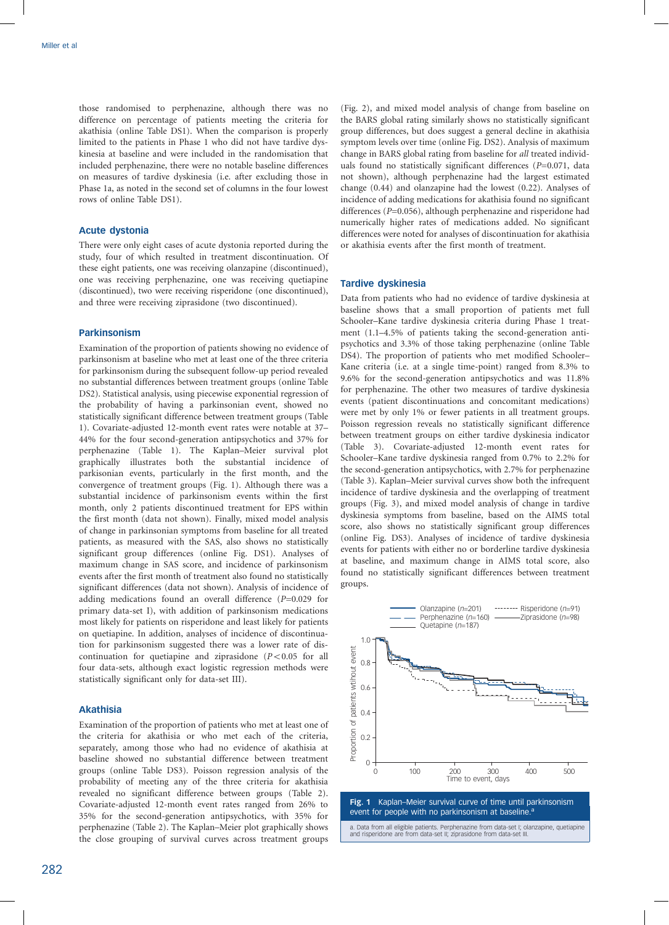those randomised to perphenazine, although there was no difference on percentage of patients meeting the criteria for akathisia (online Table DS1). When the comparison is properly limited to the patients in Phase 1 who did not have tardive dyskinesia at baseline and were included in the randomisation that included perphenazine, there were no notable baseline differences on measures of tardive dyskinesia (i.e. after excluding those in Phase 1a, as noted in the second set of columns in the four lowest rows of online Table DS1).

#### Acute dystonia

There were only eight cases of acute dystonia reported during the study, four of which resulted in treatment discontinuation. Of these eight patients, one was receiving olanzapine (discontinued), one was receiving perphenazine, one was receiving quetiapine (discontinued), two were receiving risperidone (one discontinued), and three were receiving ziprasidone (two discontinued).

#### Parkinsonism

Examination of the proportion of patients showing no evidence of parkinsonism at baseline who met at least one of the three criteria for parkinsonism during the subsequent follow-up period revealed no substantial differences between treatment groups (online Table DS2). Statistical analysis, using piecewise exponential regression of the probability of having a parkinsonian event, showed no statistically significant difference between treatment groups (Table 1). Covariate-adjusted 12-month event rates were notable at 37– 44% for the four second-generation antipsychotics and 37% for perphenazine (Table 1). The Kaplan–Meier survival plot graphically illustrates both the substantial incidence of parkisonian events, particularly in the first month, and the convergence of treatment groups (Fig. 1). Although there was a substantial incidence of parkinsonism events within the first month, only 2 patients discontinued treatment for EPS within the first month (data not shown). Finally, mixed model analysis of change in parkinsonian symptoms from baseline for all treated patients, as measured with the SAS, also shows no statistically significant group differences (online Fig. DS1). Analyses of maximum change in SAS score, and incidence of parkinsonism events after the first month of treatment also found no statistically significant differences (data not shown). Analysis of incidence of adding medications found an overall difference (P=0.029 for primary data-set I), with addition of parkinsonism medications most likely for patients on risperidone and least likely for patients on quetiapine. In addition, analyses of incidence of discontinuation for parkinsonism suggested there was a lower rate of discontinuation for quetiapine and ziprasidone  $(P<0.05$  for all four data-sets, although exact logistic regression methods were statistically significant only for data-set III).

#### Akathisia

Examination of the proportion of patients who met at least one of the criteria for akathisia or who met each of the criteria, separately, among those who had no evidence of akathisia at baseline showed no substantial difference between treatment groups (online Table DS3). Poisson regression analysis of the probability of meeting any of the three criteria for akathisia revealed no significant difference between groups (Table 2). Covariate-adjusted 12-month event rates ranged from 26% to 35% for the second-generation antipsychotics, with 35% for perphenazine (Table 2). The Kaplan–Meier plot graphically shows the close grouping of survival curves across treatment groups

(Fig. 2), and mixed model analysis of change from baseline on the BARS global rating similarly shows no statistically significant group differences, but does suggest a general decline in akathisia symptom levels over time (online Fig. DS2). Analysis of maximum change in BARS global rating from baseline for all treated individuals found no statistically significant differences  $(P=0.071, \text{ data})$ not shown), although perphenazine had the largest estimated change (0.44) and olanzapine had the lowest (0.22). Analyses of incidence of adding medications for akathisia found no significant differences (P=0.056), although perphenazine and risperidone had numerically higher rates of medications added. No significant differences were noted for analyses of discontinuation for akathisia or akathisia events after the first month of treatment.

## Tardive dyskinesia

Data from patients who had no evidence of tardive dyskinesia at baseline shows that a small proportion of patients met full Schooler–Kane tardive dyskinesia criteria during Phase 1 treatment (1.1–4.5% of patients taking the second-generation antipsychotics and 3.3% of those taking perphenazine (online Table DS4). The proportion of patients who met modified Schooler– Kane criteria (i.e. at a single time-point) ranged from 8.3% to 9.6% for the second-generation antipsychotics and was 11.8% for perphenazine. The other two measures of tardive dyskinesia events (patient discontinuations and concomitant medications) were met by only 1% or fewer patients in all treatment groups. Poisson regression reveals no statistically significant difference between treatment groups on either tardive dyskinesia indicator (Table 3). Covariate-adjusted 12-month event rates for Schooler–Kane tardive dyskinesia ranged from 0.7% to 2.2% for the second-generation antipsychotics, with 2.7% for perphenazine (Table 3). Kaplan–Meier survival curves show both the infrequent incidence of tardive dyskinesia and the overlapping of treatment groups (Fig. 3), and mixed model analysis of change in tardive dyskinesia symptoms from baseline, based on the AIMS total score, also shows no statistically significant group differences (online Fig. DS3). Analyses of incidence of tardive dyskinesia events for patients with either no or borderline tardive dyskinesia at baseline, and maximum change in AIMS total score, also found no statistically significant differences between treatment groups.

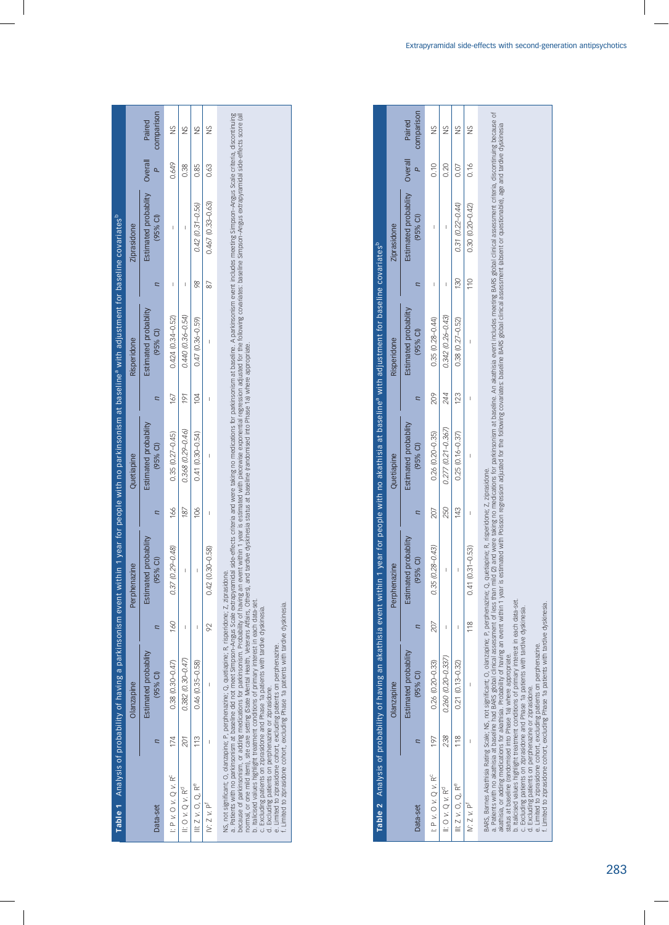| Table 1 Analysis of probability of having a parkinsonism event within 1 year for people with no parkinsonism at baseline® with adjustment for baseline covariates® | Ziprasidone<br>Risperidone<br>Quetiapine | comparison<br>Paired<br>Overall<br>Estimated probablity<br>$(95%$ CI)<br>Estimated probablity<br>(95% CI)<br>Estimated probablity<br>(95% CI)<br>probablity<br>(95% CI) | $\frac{5}{2}$<br>0.649<br>$0.424(0.34 - 0.52)$<br>167<br>$0.35(0.27 - 0.45)$<br>166<br>$0.37(0.29 - 0.48)$ | S<br>0.38<br>0.440 (0.36-0.54)<br>191<br>0.368 (0.29-0.46)<br>187 | S<br>0.85<br>$0.42(0.31 - 0.56)$<br>86<br>$0.47(0.36 - 0.59)$<br>104<br>$0.41(0.30 - 0.54)$<br>$\frac{8}{100}$ | S<br>0.63<br>$0.467$ $(0.33 - 0.63)$<br>87<br>$0.42(0.30 - 0.58)$ | a. Patierts with no parkinsonism at baseline did not meet Simpson-Angus Scale extrapyramidal side-effects ortieria and were taking no medications for parkinsonism at baseline. A parkinsonism event includes meeting slimpson<br>because of parkinsonism, or adding medications for parkinsonism. Probability of having an event within 1 year is estimated with piecewise exponential regression adjusted for the following covariates: baseline Simpson-Angus<br>tardive dyskinesia status at baseline (randomised into Phase 1a) where appropriate. |
|--------------------------------------------------------------------------------------------------------------------------------------------------------------------|------------------------------------------|-------------------------------------------------------------------------------------------------------------------------------------------------------------------------|------------------------------------------------------------------------------------------------------------|-------------------------------------------------------------------|----------------------------------------------------------------------------------------------------------------|-------------------------------------------------------------------|---------------------------------------------------------------------------------------------------------------------------------------------------------------------------------------------------------------------------------------------------------------------------------------------------------------------------------------------------------------------------------------------------------------------------------------------------------------------------------------------------------------------------------------------------------|
|                                                                                                                                                                    |                                          |                                                                                                                                                                         |                                                                                                            |                                                                   |                                                                                                                |                                                                   |                                                                                                                                                                                                                                                                                                                                                                                                                                                                                                                                                         |
|                                                                                                                                                                    |                                          |                                                                                                                                                                         |                                                                                                            |                                                                   |                                                                                                                |                                                                   |                                                                                                                                                                                                                                                                                                                                                                                                                                                                                                                                                         |
|                                                                                                                                                                    |                                          |                                                                                                                                                                         |                                                                                                            |                                                                   |                                                                                                                |                                                                   |                                                                                                                                                                                                                                                                                                                                                                                                                                                                                                                                                         |
|                                                                                                                                                                    | Perphenazine                             | Estimated                                                                                                                                                               |                                                                                                            |                                                                   |                                                                                                                |                                                                   |                                                                                                                                                                                                                                                                                                                                                                                                                                                                                                                                                         |
|                                                                                                                                                                    |                                          |                                                                                                                                                                         | 160                                                                                                        |                                                                   |                                                                                                                | 92                                                                |                                                                                                                                                                                                                                                                                                                                                                                                                                                                                                                                                         |
|                                                                                                                                                                    | Olanzapine                               | Estimated probabiity<br>(95% CI)                                                                                                                                        | $0.38(0.30 - 0.47)$                                                                                        | 0.382 (0.30-0.47)                                                 | $0.46(0.35 - 0.58)$                                                                                            |                                                                   | NS, not significant; O, olanzapine; P, perphenazine; Q, quetiapine; R, risperidone; Z, ziprasidone<br>normal, or one mild item), site care setting (State Mental Health, Veterans Affairs, Others), and<br>b. Italicised values highlight treatment conditions of primary interest in each data-set.                                                                                                                                                                                                                                                    |
|                                                                                                                                                                    |                                          |                                                                                                                                                                         | 174                                                                                                        | 201                                                               | 113                                                                                                            |                                                                   |                                                                                                                                                                                                                                                                                                                                                                                                                                                                                                                                                         |
|                                                                                                                                                                    |                                          | Data-set                                                                                                                                                                | $I: P V. O V. Q V. R^{c}$                                                                                  | II: $O$ v, $Q$ v, $R^{\sigma}$                                    | III: $Z$ V. O, Q, $R^e$                                                                                        | N: Z V P <sup>t</sup>                                             |                                                                                                                                                                                                                                                                                                                                                                                                                                                                                                                                                         |

d. Excluding patients on perphenazine or ziprasidone.<br>e. Limited to ziprasidone cohort, excluding patients on perphenazine.<br>f. Limited to ziprasidone cohort, excluding Phase 1a patients with tardive dyskinesia. d. Excluding patients on perphenazine or ziprasidone.

e. Limited to ziprasidone cohort, excluding patients on perphenazine. f. Limited to ziprasidone cohort, excluding Phase 1a patients with tardive dyskinesia.

|                              |               | Table 2 Analysis of probability of having an akathisia event within 1                                                                                                                                                                                                                                                                                                                                                                                                                                                                                                                                                                                                                                                                                                        |     |                                    |     |                                  |     | year for people with no akathisia at baseline <sup>a</sup> with adjustment for baseline covariates <sup>bl</sup> |     |                                    |         |                      |
|------------------------------|---------------|------------------------------------------------------------------------------------------------------------------------------------------------------------------------------------------------------------------------------------------------------------------------------------------------------------------------------------------------------------------------------------------------------------------------------------------------------------------------------------------------------------------------------------------------------------------------------------------------------------------------------------------------------------------------------------------------------------------------------------------------------------------------------|-----|------------------------------------|-----|----------------------------------|-----|------------------------------------------------------------------------------------------------------------------|-----|------------------------------------|---------|----------------------|
|                              |               | Olanzapine                                                                                                                                                                                                                                                                                                                                                                                                                                                                                                                                                                                                                                                                                                                                                                   |     | Perphenazine                       |     | Quetiapine                       |     | Risperidone                                                                                                      |     | Ziprasidone                        |         |                      |
| Data-set                     |               | Estimated probablity<br>$(95%$ CI)                                                                                                                                                                                                                                                                                                                                                                                                                                                                                                                                                                                                                                                                                                                                           |     | Estimated probabiity<br>$(95%$ CI) |     | Estimated probablity<br>(95% CI) |     | Estimated probablity<br>(95% CI)                                                                                 |     | Estimated probablity<br>$(95%$ CI) | Overall | comparison<br>Paired |
| $I: P V. O V. Q V. R^{c}$    | 197           | $0.26$ $(0.20 - 0.33)$                                                                                                                                                                                                                                                                                                                                                                                                                                                                                                                                                                                                                                                                                                                                                       | 207 | $0.35(0.28 - 0.43)$                | 207 | $0.26$ $(0.20 - 0.35)$           | 209 | $0.35(0.28 - 0.44)$                                                                                              |     |                                    | 0.10    | $\frac{5}{2}$        |
| II: O V. Q V. R <sup>d</sup> | 238           | 0.260 (0.20-0.337)                                                                                                                                                                                                                                                                                                                                                                                                                                                                                                                                                                                                                                                                                                                                                           |     |                                    | 250 | 0.277 (0.21-0.367)               | 244 | 0.342 (0.26-0.43)                                                                                                |     |                                    | 0.20    | S                    |
| III: $Z$ V. O, Q, $R^e$      | $\frac{8}{1}$ | $0.21(0.13 - 0.32)$                                                                                                                                                                                                                                                                                                                                                                                                                                                                                                                                                                                                                                                                                                                                                          |     |                                    | 143 | $0.25(0.16 - 0.37)$              | 123 | $0.38$ $(0.27 - 0.52)$                                                                                           | 130 | 0.31 (0.22-0.44)                   | 0.07    |                      |
| W: Z V. P <sup>r</sup>       |               |                                                                                                                                                                                                                                                                                                                                                                                                                                                                                                                                                                                                                                                                                                                                                                              | 118 | $0.41(0.31 - 0.53)$                |     |                                  |     |                                                                                                                  | 110 | $0.30(0.20 - 0.42)$                | 0.16    |                      |
|                              |               | a. Patients with no akathisia at bassinent of less than mid (2) and were taking no medications for parkinsonism at baseline. An akathisia event includes meeting BARS global clinical assessment criteria, discontinuing becau<br>akathisia, or adding medications for akathisia. Probability of having an event within 1 year is estimated with Poisson regression adjusted for the following covariates: baseline BARS global clinical assessment (absent or q<br>BARS, Barnes Akathisia Rating Scale; NS, not significant; O, danzapine; P, perphenazine; Q, quetiapine; R, risperidone; Z, ziprasidone.<br>b. Italicised values highlight treatment conditions of primary interest in each data-set.<br>status at baseline (randomised into Phase 1a) where appropriate. |     |                                    |     |                                  |     |                                                                                                                  |     |                                    |         |                      |

c. Excluding varies in giving the content of Phase Ta Pinniary interest in excluding patients on perpherical c<br>d. Excluding patients on perpheriazine or ziprasidone.<br>e. Limited to ziprasidone cohort, excluding patients on c. Excluding patients on ziprasidone and Phase 1a patients with tardive dyskinesia.

d. Excluding patients on perphenazine or ziprasidone.

e. Limited to ziprasidone cohort, excluding patients on perphenazine.

f. Limited to ziprasidone cohort, excluding Phase 1a patients with tardive dyskinesia.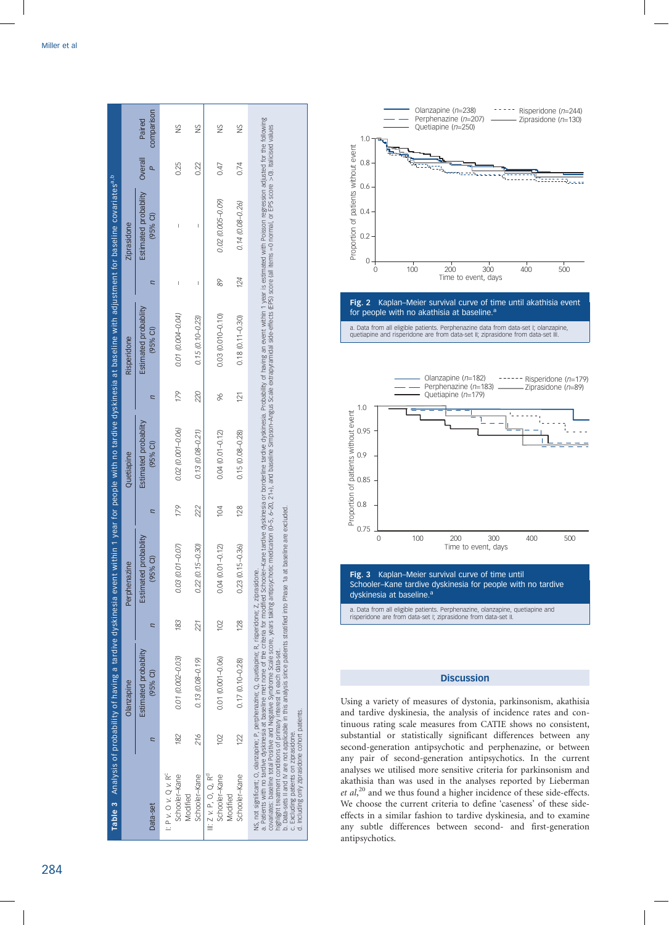|                                                      |     |                                                                                                                                                                                                                                                                                                                                                                                           |     | Table 3 Analysis of probability of having a tardive dyskinesia event within 1 year for people with no tardive dyskinesia at baseline with adjustment for baseline covariates <sup>a, b</sup>                                                            |     |                                    |     |                                                                                                                                                                        |     |                                     |               |                      |
|------------------------------------------------------|-----|-------------------------------------------------------------------------------------------------------------------------------------------------------------------------------------------------------------------------------------------------------------------------------------------------------------------------------------------------------------------------------------------|-----|---------------------------------------------------------------------------------------------------------------------------------------------------------------------------------------------------------------------------------------------------------|-----|------------------------------------|-----|------------------------------------------------------------------------------------------------------------------------------------------------------------------------|-----|-------------------------------------|---------------|----------------------|
|                                                      |     | Olanzapine                                                                                                                                                                                                                                                                                                                                                                                |     | Perphenazine                                                                                                                                                                                                                                            |     | Quetiapine                         |     | Risperidone                                                                                                                                                            |     | Ziprasidone                         |               |                      |
| Data-set                                             |     | Estimated probablity<br>$(95%$ CI)                                                                                                                                                                                                                                                                                                                                                        |     | probablity<br>ට්<br>(95%<br>Estimated<br>I                                                                                                                                                                                                              |     | Estimated probablity<br>$(95%$ CI) |     | Estimated probabiity<br>$(95%$ CI)                                                                                                                                     |     | Estimated probability<br>$(95%$ CI) | Overall<br>Q, | comparison<br>Paired |
| $I: P V O V Q V R^{c}$<br>Schooler-Kane<br>Modified  | 182 | 0.01 (0.002-0.03)                                                                                                                                                                                                                                                                                                                                                                         | 183 | 0.03 (0.01-0.07)                                                                                                                                                                                                                                        | 179 | 0.02 (0.001-0.06)                  | 179 | 0.01 (0.004-0.04)                                                                                                                                                      |     |                                     | 0.25          | S                    |
| Schooler-Kane                                        | 216 | $0.13(0.08 - 0.19)$                                                                                                                                                                                                                                                                                                                                                                       | 21  | $0.22(0.15 - 0.30)$                                                                                                                                                                                                                                     | 222 | 0.13 (0.08-0.21)                   | 20  | 0.15 (0.10-0.23)                                                                                                                                                       | I   |                                     | 0.22          | S                    |
| III: $Z V. P, O, Q, Rd$<br>Schooler-Kane<br>Modified | 102 | $0.01$ $(0.001 - 0.06)$                                                                                                                                                                                                                                                                                                                                                                   | po  | $0.04(0.01 - 0.12)$                                                                                                                                                                                                                                     | 104 | $0.04(0.01 - 0.12)$                | 96  | $0.03(0.010 - 0.10)$                                                                                                                                                   | 89  | 0.02 (0.005-0.09)                   | 0.47          | S                    |
| Schooler-Kane                                        | 122 | $0.17(0.10 - 0.28)$                                                                                                                                                                                                                                                                                                                                                                       | 128 | $0.23(0.15 - 0.36)$                                                                                                                                                                                                                                     | 128 | $0.15(0.08 - 0.28)$                | 121 | $0.18(0.11 - 0.30)$                                                                                                                                                    | 124 | $0.14(0.08 - 0.26)$                 | 0.74          | S                    |
| c. Excluding patients on ziprasidone.                |     | b. Data-sets II and IV are not applicable in this analysis since patients stratified into Phase 1a at<br>a. Patients with no tardive dyskinesia at baseline met none of the criteria for modified Schooler-<br>NS, not significant; O, olanzapine; P, perphenazine; Q, quetiapine; R, risperidone; Z, ziprasidone.<br>highlight treatment conditions of primary interest in each data-set |     | covariates: baseline total Positive and Negative Syndrome Scale score, years taking antipsychotic medication (0-5, 6-20, 21+), and Daseline Simpson-Angus Scale extrapyramidal side-effects (EPS) score (all items =0 norm a)<br>baseline are excluded. |     |                                    |     | Kane tardive dyskinesia or borderline tardive dyskinesia. Probability of having an event within 1 year is estimated with Poisson regression adjusted for the following |     |                                     |               |                      |

d. Including only ziprasidone cohort patients.

of including only ziprasidone cohort patients.



# **Discussion**

Using a variety of measures of dystonia, parkinsonism, akathisia and tardive dyskinesia, the analysis of incidence rates and continuous rating scale measures from CATIE shows no consistent, substantial or statistically significant differences between any second-generation antipsychotic and perphenazine, or between any pair of second-generation antipsychotics. In the current analyses we utilised more sensitive criteria for parkinsonism and akathisia than was used in the analyses reported by Lieberman et  $al$ ,<sup>20</sup> and we thus found a higher incidence of these side-effects. We choose the current criteria to define 'caseness' of these sideeffects in a similar fashion to tardive dyskinesia, and to examine any subtle differences between second- and first-generation antipsychotics.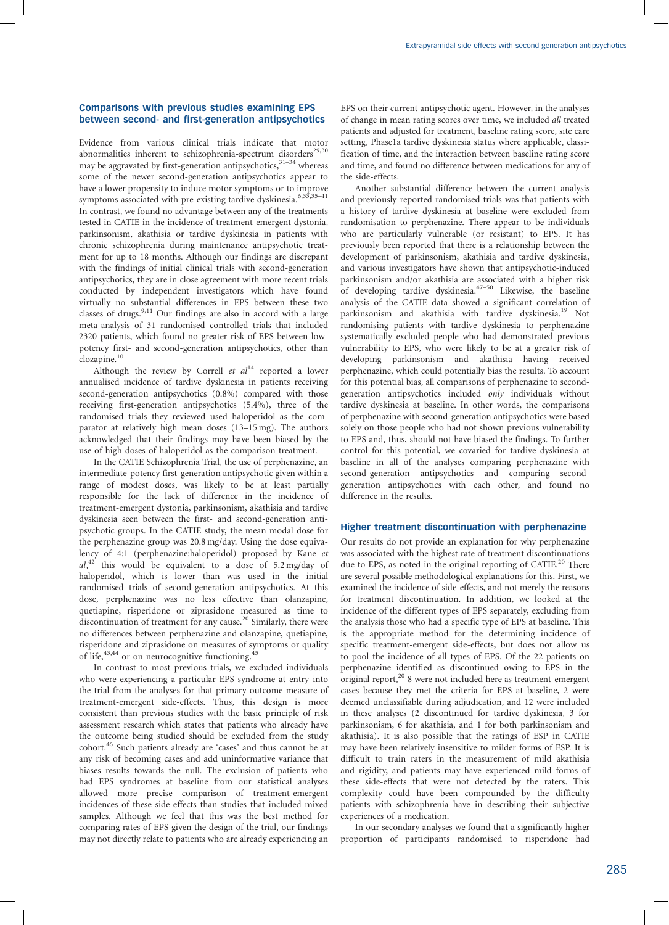## Comparisons with previous studies examining EPS between second- and first-generation antipsychotics

Evidence from various clinical trials indicate that motor abnormalities inherent to schizophrenia-spectrum disorders<sup>29,30</sup> may be aggravated by first-generation antipsychotics,  $31-34$  whereas some of the newer second-generation antipsychotics appear to have a lower propensity to induce motor symptoms or to improve symptoms associated with pre-existing tardive dyskinesia.<sup>6,33,35-41</sup> In contrast, we found no advantage between any of the treatments tested in CATIE in the incidence of treatment-emergent dystonia, parkinsonism, akathisia or tardive dyskinesia in patients with chronic schizophrenia during maintenance antipsychotic treatment for up to 18 months. Although our findings are discrepant with the findings of initial clinical trials with second-generation antipsychotics, they are in close agreement with more recent trials conducted by independent investigators which have found virtually no substantial differences in EPS between these two classes of drugs. $9,11$  Our findings are also in accord with a large meta-analysis of 31 randomised controlled trials that included 2320 patients, which found no greater risk of EPS between lowpotency first- and second-generation antipsychotics, other than clozapine.<sup>10</sup>

Although the review by Correll et  $al^{14}$  reported a lower annualised incidence of tardive dyskinesia in patients receiving second-generation antipsychotics (0.8%) compared with those receiving first-generation antipsychotics (5.4%), three of the randomised trials they reviewed used haloperidol as the comparator at relatively high mean doses (13–15 mg). The authors acknowledged that their findings may have been biased by the use of high doses of haloperidol as the comparison treatment.

In the CATIE Schizophrenia Trial, the use of perphenazine, an intermediate-potency first-generation antipsychotic given within a range of modest doses, was likely to be at least partially responsible for the lack of difference in the incidence of treatment-emergent dystonia, parkinsonism, akathisia and tardive dyskinesia seen between the first- and second-generation antipsychotic groups. In the CATIE study, the mean modal dose for the perphenazine group was 20.8 mg/day. Using the dose equivalency of 4:1 (perphenazine:haloperidol) proposed by Kane et  $al$ ,  $42$  this would be equivalent to a dose of 5.2 mg/day of haloperidol, which is lower than was used in the initial randomised trials of second-generation antipsychotics. At this dose, perphenazine was no less effective than olanzapine, quetiapine, risperidone or ziprasidone measured as time to discontinuation of treatment for any cause.<sup>20</sup> Similarly, there were no differences between perphenazine and olanzapine, quetiapine, risperidone and ziprasidone on measures of symptoms or quality of life,  $43,44$  or on neurocognitive functioning.<sup>4</sup>

In contrast to most previous trials, we excluded individuals who were experiencing a particular EPS syndrome at entry into the trial from the analyses for that primary outcome measure of treatment-emergent side-effects. Thus, this design is more consistent than previous studies with the basic principle of risk assessment research which states that patients who already have the outcome being studied should be excluded from the study cohort.<sup>46</sup> Such patients already are 'cases' and thus cannot be at any risk of becoming cases and add uninformative variance that biases results towards the null. The exclusion of patients who had EPS syndromes at baseline from our statistical analyses allowed more precise comparison of treatment-emergent incidences of these side-effects than studies that included mixed samples. Although we feel that this was the best method for comparing rates of EPS given the design of the trial, our findings may not directly relate to patients who are already experiencing an EPS on their current antipsychotic agent. However, in the analyses of change in mean rating scores over time, we included all treated patients and adjusted for treatment, baseline rating score, site care setting, Phase1a tardive dyskinesia status where applicable, classification of time, and the interaction between baseline rating score and time, and found no difference between medications for any of the side-effects.

Another substantial difference between the current analysis and previously reported randomised trials was that patients with a history of tardive dyskinesia at baseline were excluded from randomisation to perphenazine. There appear to be individuals who are particularly vulnerable (or resistant) to EPS. It has previously been reported that there is a relationship between the development of parkinsonism, akathisia and tardive dyskinesia, and various investigators have shown that antipsychotic-induced parkinsonism and/or akathisia are associated with a higher risk of developing tardive dyskinesia.47–50 Likewise, the baseline analysis of the CATIE data showed a significant correlation of parkinsonism and akathisia with tardive dyskinesia.<sup>19</sup> Not randomising patients with tardive dyskinesia to perphenazine systematically excluded people who had demonstrated previous vulnerability to EPS, who were likely to be at a greater risk of developing parkinsonism and akathisia having received perphenazine, which could potentially bias the results. To account for this potential bias, all comparisons of perphenazine to secondgeneration antipsychotics included only individuals without tardive dyskinesia at baseline. In other words, the comparisons of perphenazine with second-generation antipsychotics were based solely on those people who had not shown previous vulnerability to EPS and, thus, should not have biased the findings. To further control for this potential, we covaried for tardive dyskinesia at baseline in all of the analyses comparing perphenazine with second-generation antipsychotics and comparing secondgeneration antipsychotics with each other, and found no difference in the results.

#### Higher treatment discontinuation with perphenazine

Our results do not provide an explanation for why perphenazine was associated with the highest rate of treatment discontinuations due to EPS, as noted in the original reporting of CATIE.<sup>20</sup> There are several possible methodological explanations for this. First, we examined the incidence of side-effects, and not merely the reasons for treatment discontinuation. In addition, we looked at the incidence of the different types of EPS separately, excluding from the analysis those who had a specific type of EPS at baseline. This is the appropriate method for the determining incidence of specific treatment-emergent side-effects, but does not allow us to pool the incidence of all types of EPS. Of the 22 patients on perphenazine identified as discontinued owing to EPS in the original report,<sup>20</sup> 8 were not included here as treatment-emergent cases because they met the criteria for EPS at baseline, 2 were deemed unclassifiable during adjudication, and 12 were included in these analyses (2 discontinued for tardive dyskinesia, 3 for parkinsonism, 6 for akathisia, and 1 for both parkinsonism and akathisia). It is also possible that the ratings of ESP in CATIE may have been relatively insensitive to milder forms of ESP. It is difficult to train raters in the measurement of mild akathisia and rigidity, and patients may have experienced mild forms of these side-effects that were not detected by the raters. This complexity could have been compounded by the difficulty patients with schizophrenia have in describing their subjective experiences of a medication.

In our secondary analyses we found that a significantly higher proportion of participants randomised to risperidone had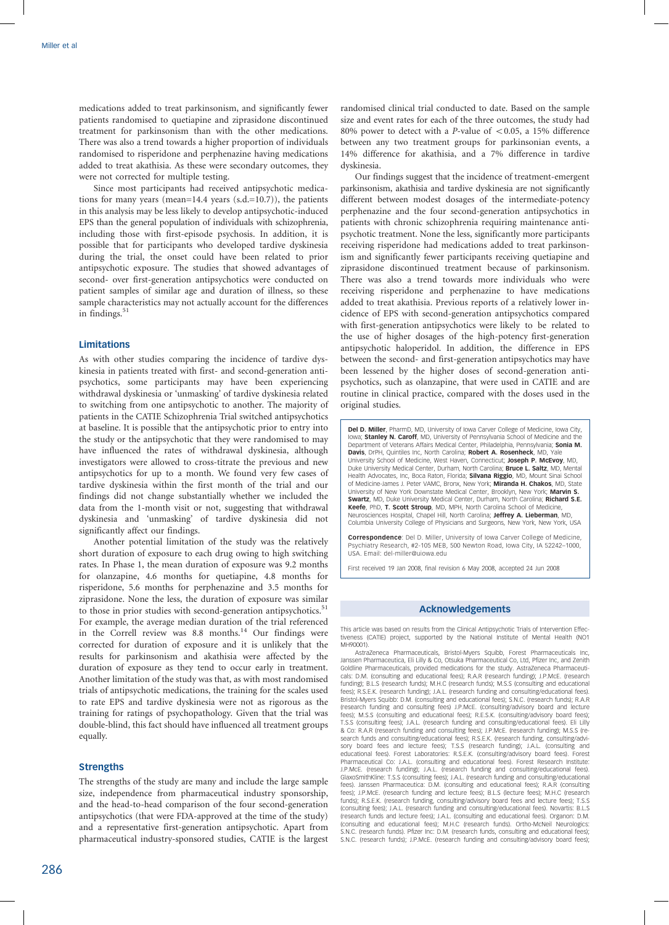medications added to treat parkinsonism, and significantly fewer patients randomised to quetiapine and ziprasidone discontinued treatment for parkinsonism than with the other medications. There was also a trend towards a higher proportion of individuals randomised to risperidone and perphenazine having medications added to treat akathisia. As these were secondary outcomes, they were not corrected for multiple testing.

Since most participants had received antipsychotic medications for many years (mean=14.4 years  $(s.d.=10.7)$ ), the patients in this analysis may be less likely to develop antipsychotic-induced EPS than the general population of individuals with schizophrenia, including those with first-episode psychosis. In addition, it is possible that for participants who developed tardive dyskinesia during the trial, the onset could have been related to prior antipsychotic exposure. The studies that showed advantages of second- over first-generation antipsychotics were conducted on patient samples of similar age and duration of illness, so these sample characteristics may not actually account for the differences in findings. $51$ 

## Limitations

As with other studies comparing the incidence of tardive dyskinesia in patients treated with first- and second-generation antipsychotics, some participants may have been experiencing withdrawal dyskinesia or 'unmasking' of tardive dyskinesia related to switching from one antipsychotic to another. The majority of patients in the CATIE Schizophrenia Trial switched antipsychotics at baseline. It is possible that the antipsychotic prior to entry into the study or the antipsychotic that they were randomised to may have influenced the rates of withdrawal dyskinesia, although investigators were allowed to cross-titrate the previous and new antipsychotics for up to a month. We found very few cases of tardive dyskinesia within the first month of the trial and our findings did not change substantially whether we included the data from the 1-month visit or not, suggesting that withdrawal dyskinesia and 'unmasking' of tardive dyskinesia did not significantly affect our findings.

Another potential limitation of the study was the relatively short duration of exposure to each drug owing to high switching rates. In Phase 1, the mean duration of exposure was 9.2 months for olanzapine, 4.6 months for quetiapine, 4.8 months for risperidone, 5.6 months for perphenazine and 3.5 months for ziprasidone. None the less, the duration of exposure was similar to those in prior studies with second-generation antipsychotics.<sup>51</sup> For example, the average median duration of the trial referenced in the Correll review was 8.8 months.<sup>14</sup> Our findings were corrected for duration of exposure and it is unlikely that the results for parkinsonism and akathisia were affected by the duration of exposure as they tend to occur early in treatment. Another limitation of the study was that, as with most randomised trials of antipsychotic medications, the training for the scales used to rate EPS and tardive dyskinesia were not as rigorous as the training for ratings of psychopathology. Given that the trial was double-blind, this fact should have influenced all treatment groups equally.

## **Strengths**

The strengths of the study are many and include the large sample size, independence from pharmaceutical industry sponsorship, and the head-to-head comparison of the four second-generation antipsychotics (that were FDA-approved at the time of the study) and a representative first-generation antipsychotic. Apart from pharmaceutical industry-sponsored studies, CATIE is the largest

randomised clinical trial conducted to date. Based on the sample size and event rates for each of the three outcomes, the study had 80% power to detect with a P-value of  $<$  0.05, a 15% difference between any two treatment groups for parkinsonian events, a 14% difference for akathisia, and a 7% difference in tardive dyskinesia.

Our findings suggest that the incidence of treatment-emergent parkinsonism, akathisia and tardive dyskinesia are not significantly different between modest dosages of the intermediate-potency perphenazine and the four second-generation antipsychotics in patients with chronic schizophrenia requiring maintenance antipsychotic treatment. None the less, significantly more participants receiving risperidone had medications added to treat parkinsonism and significantly fewer participants receiving quetiapine and ziprasidone discontinued treatment because of parkinsonism. There was also a trend towards more individuals who were receiving risperidone and perphenazine to have medications added to treat akathisia. Previous reports of a relatively lower incidence of EPS with second-generation antipsychotics compared with first-generation antipsychotics were likely to be related to the use of higher dosages of the high-potency first-generation antipsychotic haloperidol. In addition, the difference in EPS between the second- and first-generation antipsychotics may have been lessened by the higher doses of second-generation antipsychotics, such as olanzapine, that were used in CATIE and are routine in clinical practice, compared with the doses used in the original studies.

Del D. Miller, PharmD, MD, University of Iowa Carver College of Medicine, Iowa City, Iowa: **Stanley N. Caroff**, MD, University of Pennsylvania School of Medicine and the Department of Veterans Affairs Medical Center, Philadelphia, Pennsylvania; Sonia M. Davis, DrPH, Quintiles Inc, North Carolina; Robert A. Rosenheck, MD, Yale University School of Medicine, West Haven, Connecticut; Joseph P. McEvoy, MD, Duke University Medical Center, Durham, North Carolina; Bruce L. Saltz, MD, Mental Health Advocates, Inc, Boca Raton, Florida; Silvana Riggio, MD, Mount Sinai School of Medicine-James J. Peter VAMC, Bronx, New York; Miranda H. Chakos, MD, State University of New York Downstate Medical Center, Brooklyn, New York; Marvin S. Swartz, MD, Duke University Medical Center, Durham, North Carolina; Richard S.E. Keefe, PhD, T. Scott Stroup, MD, MPH, North Carolina School of Medicine, Neurosciences Hospital, Chapel Hill, North Carolina; Jeffrey A. Lieberman, MD, Columbia University College of Physicians and Surgeons, New York, New York, USA

Correspondence: Del D. Miller, University of Iowa Carver College of Medicine, Psychiatry Research, #2-105 MEB, 500 Newton Road, Iowa City, IA 52242–1000, USA. Email: del-miller@uiowa.edu

First received 19 Jan 2008, final revision 6 May 2008, accepted 24 Jun 2008

#### Acknowledgements

This article was based on results from the Clinical Antipsychotic Trials of Intervention Effectiveness (CATIE) project, supported by the National Institute of Mental Health (NO1 MH90001).

AstraZeneca Pharmaceuticals, Bristol-Myers Squibb, Forest Pharmaceuticals Inc, Janssen Pharmaceutica, Eli Lilly & Co, Otsuka Pharmaceutical Co, Ltd, Pfizer Inc, and Zenith Goldline Pharmaceuticals, provided medications for the study. AstraZeneca Pharmaceuticals: D.M. (consulting and educational fees); R.A.R (research funding); J.P.McE. (research funding); B.L.S (research funds); M.H.C (research funds); M.S.S (consulting and educational fees); R.S.E.K. (research funding); J.A.L. (research funding and consulting/educational fees). Bristol-Myers Squibb: D.M. (consulting and educational fees); S.N.C. (research funds); R.A.R (research funding and consulting fees) J.P.McE. (consulting/advisory board and lecture fees); M.S.S (consulting and educational fees); R.E.S.K. (consulting/advisory board fees); T.S.S (consulting fees); J.A.L. (research funding and consulting/educational fees). Eli Lilly & Co: R.A.R (research funding and consulting fees); J.P.McE. (research funding); M.S.S (research funds and consulting/educational fees); R.S.E.K. (research funding, consulting/advisory board fees and lecture fees); T.S.S (research funding); J.A.L. (consulting and educational fees). Forest Laboratories: R.S.E.K. (consulting/advisory board fees). Forest Pharmaceutical Co: J.A.L. (consulting and educational fees). Forest Research Institute: J.P.McE. (research funding); J.A.L. (research funding and consulting/educational fees). GlaxoSmithKline: T.S.S (consulting fees); J.A.L. (research funding and consulting/educational fees). Janssen Pharmaceutica: D.M. (consulting and educational fees); R.A.R (consulting fees); J.P.McE. (research funding and lecture fees); B.L.S (lecture fees); M.H.C (research funds); R.S.E.K. (research funding, consulting/advisory board fees and lecture fees); T.S.S (consulting fees); J.A.L. (research funding and consulting/educational fees). Novartis: B.L.S (research funds and lecture fees); J.A.L. (consulting and educational fees). Organon: D.M. (consulting and educational fees); M.H.C (research funds). Ortho-McNeil Neurologics: S.N.C. (research funds). Pfizer Inc: D.M. (research funds, consulting and educational fees); S.N.C. (research funds); J.P.McE. (research funding and consulting/advisory board fees);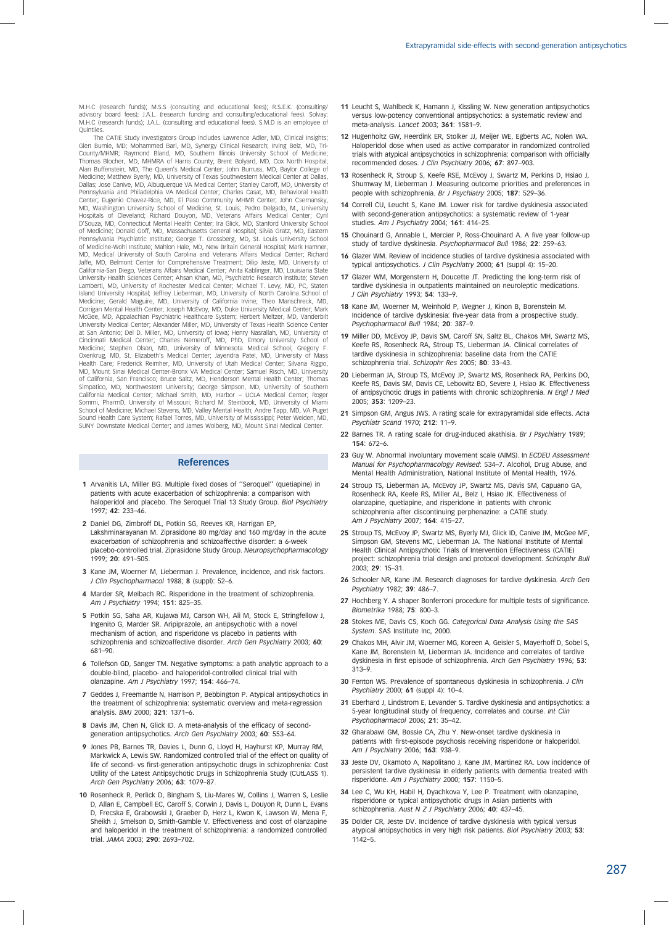M.H.C (research funds); M.S.S (consulting and educational fees); R.S.E.K. (consulting/ advisory board fees); J.A.L. (research funding and consulting/educational fees). Solvay: M.H.C (research funds); J.A.L. (consulting and educational fees). S.M.D is an employee of Quintiles.

The CATIE Study Investigators Group includes Lawrence Adler, MD, Clinical Insights; Glen Burnie, MD; Mohammed Bari, MD, Synergy Clinical Research; Irving Belz, MD, Tri-County/MHMR; Raymond Bland, MD, Southern Illinois University School of Medicine; Thomas Blocher, MD, MHMRA of Harris County; Brent Bolyard, MD, Cox North Hospital; Alan Buffenstein, MD, The Queen's Medical Center; John Burruss, MD, Baylor College of Medicine; Matthew Byerly, MD, University of Texas Southwestern Medical Center at Dallas, Dallas; Jose Canive, MD, Albuquerque VA Medical Center; Stanley Caroff, MD, University of Pennsylvania and Philadelphia VA Medical Center; Charles Casat, MD, Behavioral Health Center; Eugenio Chavez-Rice, MD, El Paso Community MHMR Center; John Csernansky, MD, Washington University School of Medicine, St. Louis; Pedro Delgado, M., University<br>Hospitals of Cleveland; Richard Douyon, MD, Veterans Affairs Medical Center; Cyril<br>D'Souza, MD, Connecticut Mental Health Center; Ira G of Medicine; Donald Goff, MD, Massachusetts General Hospital; Silvia Gratz, MD, Eastern Pennsylvania Psychiatric Institute; George T. Grossberg, MD, St. Louis University School of Medicine-Wohl Institute; Mahlon Hale, MD, New Britain General Hospital; Mark Hamner, MD, Medical University of South Carolina and Veterans Affairs Medical Center; Richard Jaffe, MD, Belmont Center for Comprehensive Treatment; Dilip Jeste, MD, University of California-San Diego, Veterans Affairs Medical Center; Anita Kablinger, MD, Louisiana State University Health Sciences Center; Ahsan Khan, MD, Psychiatric Research Institute; Steven Lamberti, MD, University of Rochester Medical Center; Michael T. Levy, MD, PC, Staten Island University Hospital; Jeffrey Lieberman, MD, University of North Carolina School of Medicine; Gerald Maguire, MD, University of California Irvine; Theo Manschreck, MD, Corrigan Mental Health Center; Joseph McEvoy, MD, Duke University Medical Center; Mark McGee, MD, Appalachian Psychiatric Healthcare System; Herbert Meltzer, MD, Vanderbilt University Medical Center; Alexander Miller, MD, University of Texas Health Science Center at San Antonio; Del D. Miller, MD, University of Iowa; Henry Nasrallah, MD, University of<br>Cincinnati Medical Center; Charles Nemeroff, MD, PhD, Emory University School of<br>Medicine; Stephen Olson, MD, Universi Oxenkrug, MD, St. Elizabeth's Medical Center; Jayendra Patel, MD, University of Mass Health Care; Frederick Reimher, MD, University of Utah Medical Center; Silvana Riggio, MD, Mount Sinai Medical Center-Bronx VA Medical Center; Samuel Risch, MD, University of California, San Francisco; Bruce Saltz, MD, Henderson Mental Health Center; Thomas<br>Simpatico, MD, Northwestern University; George Simpson, MD, University of Southern<br>California Medical Center; Michael Smith, MD, Harbor Sommi, PharmD, University of Missouri; Richard M. Steinbook, MD, University of Miami School of Medicine; Michael Stevens, MD, Valley Mental Health; Andre Tapp, MD, VA Puget Sound Health Care System; Rafael Torres, MD, University of Mississippi; Peter Weiden, MD, SUNY Downstate Medical Center; and James Wolberg, MD, Mount Sinai Medical Center.

#### References

- 1 Arvanitis LA, Miller BG. Multiple fixed doses of ''Seroquel'' (quetiapine) in patients with acute exacerbation of schizophrenia: a comparison with haloperidol and placebo. The Seroquel Trial 13 Study Group. Biol Psychiatry 1997; 42: 233–46.
- 2 Daniel DG, Zimbroff DL, Potkin SG, Reeves KR, Harrigan EP, Lakshminarayanan M. Ziprasidone 80 mg/day and 160 mg/day in the acute exacerbation of schizophrenia and schizoaffective disorder: a 6-week placebo-controlled trial. Ziprasidone Study Group. Neuropsychopharmacology 1999; 20: 491–505.
- 3 Kane JM, Woerner M, Lieberman J. Prevalence, incidence, and risk factors. J Clin Psychopharmacol 1988; 8 (suppl): 52–6.
- 4 Marder SR, Meibach RC. Risperidone in the treatment of schizophrenia. Am J Psychiatry 1994; 151: 825–35.
- 5 Potkin SG, Saha AR, Kujawa MJ, Carson WH, Ali M, Stock E, Stringfellow J, Ingenito G, Marder SR. Aripiprazole, an antipsychotic with a novel mechanism of action, and risperidone vs placebo in patients with schizophrenia and schizoaffective disorder. Arch Gen Psychiatry 2003; 60: 681–90.
- 6 Tollefson GD, Sanger TM. Negative symptoms: a path analytic approach to a double-blind, placebo- and haloperidol-controlled clinical trial with olanzapine. Am J Psychiatry 1997; 154: 466–74.
- 7 Geddes J, Freemantle N, Harrison P, Bebbington P. Atypical antipsychotics in the treatment of schizophrenia: systematic overview and meta-regression analysis. BMJ 2000; 321: 1371–6.
- 8 Davis JM, Chen N, Glick ID. A meta-analysis of the efficacy of secondgeneration antipsychotics. Arch Gen Psychiatry 2003; 60: 553–64.
- 9 Jones PB, Barnes TR, Davies L, Dunn G, Lloyd H, Hayhurst KP, Murray RM, Markwick A, Lewis SW. Randomized controlled trial of the effect on quality of life of second- vs first-generation antipsychotic drugs in schizophrenia: Cost Utility of the Latest Antipsychotic Drugs in Schizophrenia Study (CUtLASS 1). Arch Gen Psychiatry 2006; 63: 1079–87.
- 10 Rosenheck R, Perlick D, Bingham S, Liu-Mares W, Collins J, Warren S, Leslie D, Allan E, Campbell EC, Caroff S, Corwin J, Davis L, Douyon R, Dunn L, Evans D, Frecska E, Grabowski J, Graeber D, Herz L, Kwon K, Lawson W, Mena F, Sheikh J, Smelson D, Smith-Gamble V. Effectiveness and cost of olanzapine and haloperidol in the treatment of schizophrenia: a randomized controlled trial. JAMA 2003; 290: 2693–702.
- 11 Leucht S, Wahlbeck K, Hamann J, Kissling W. New generation antipsychotics versus low-potency conventional antipsychotics: a systematic review and meta-analysis. Lancet 2003; 361: 1581–9.
- 12 Hugenholtz GW, Heerdink ER, Stolker JJ, Meijer WE, Egberts AC, Nolen WA. Haloperidol dose when used as active comparator in randomized controlled trials with atypical antipsychotics in schizophrenia: comparison with officially recommended doses. J Clin Psychiatry 2006; 67: 897-903.
- 13 Rosenheck R, Stroup S, Keefe RSE, McEvoy J, Swartz M, Perkins D, Hsiao J, Shumway M, Lieberman J. Measuring outcome priorities and preferences in people with schizophrenia. Br J Psychiatry 2005; 187: 529-36
- 14 Correll CU, Leucht S, Kane JM. Lower risk for tardive dyskinesia associated with second-generation antipsychotics: a systematic review of 1-year studies. Am J Psychiatry 2004; 161: 414–25.
- 15 Chouinard G, Annable L, Mercier P, Ross-Chouinard A. A five year follow-up study of tardive dyskinesia. Psychopharmacol Bull 1986; 22: 259–63.
- 16 Glazer WM. Review of incidence studies of tardive dyskinesia associated with typical antipsychotics. J Clin Psychiatry 2000; 61 (suppl 4): 15-20.
- 17 Glazer WM, Morgenstern H, Doucette JT. Predicting the long-term risk of tardive dyskinesia in outpatients maintained on neuroleptic medications. J Clin Psychiatry 1993; 54: 133–9.
- 18 Kane JM, Woerner M, Weinhold P, Wegner J, Kinon B, Borenstein M. Incidence of tardive dyskinesia: five-year data from a prospective study. Psychopharmacol Bull 1984; 20: 387-9.
- 19 Miller DD, McEvoy JP, Davis SM, Caroff SN, Saltz BL, Chakos MH, Swartz MS, Keefe RS, Rosenheck RA, Stroup TS, Lieberman JA. Clinical correlates of tardive dyskinesia in schizophrenia: baseline data from the CATIE schizophrenia trial. Schizophr Res 2005; 80: 33–43.
- 20 Lieberman JA, Stroup TS, McEvoy JP, Swartz MS, Rosenheck RA, Perkins DO, Keefe RS, Davis SM, Davis CE, Lebowitz BD, Severe J, Hsiao JK. Effectiveness of antipsychotic drugs in patients with chronic schizophrenia. N Engl J Med 2005; 353: 1209–23.
- 21 Simpson GM, Angus JWS. A rating scale for extrapyramidal side effects. Acta Psychiatr Scand 1970; 212: 11–9.
- 22 Barnes TR. A rating scale for drug-induced akathisia. Br J Psychiatry 1989; 154: 672–6.
- 23 Guy W. Abnormal involuntary movement scale (AIMS). In ECDEU Assessment Manual for Psychopharmacology Revised: 534–7. Alcohol, Drug Abuse, and Mental Health Administration, National Institute of Mental Health, 1976.
- 24 Stroup TS, Lieberman JA, McEvoy JP, Swartz MS, Davis SM, Capuano GA, Rosenheck RA, Keefe RS, Miller AL, Belz I, Hsiao JK. Effectiveness of olanzapine, quetiapine, and risperidone in patients with chronic schizophrenia after discontinuing perphenazine: a CATIE study. Am J Psychiatry 2007; 164: 415–27.
- 25 Stroup TS, McEvoy JP, Swartz MS, Byerly MJ, Glick ID, Canive JM, McGee MF, Simpson GM, Stevens MC, Lieberman JA. The National Institute of Mental Health Clinical Antipsychotic Trials of Intervention Effectiveness (CATIE) project: schizophrenia trial design and protocol development. Schizophr Bull 2003; 29: 15–31.
- 26 Schooler NR, Kane JM, Research diagnoses for tardive dyskinesia. Arch Gen Psychiatry 1982; 39: 486–7.
- 27 Hochberg Y. A shaper Bonferroni procedure for multiple tests of significance. Biometrika 1988; 75: 800–3.
- 28 Stokes ME, Davis CS, Koch GG. Categorical Data Analysis Using the SAS System. SAS Institute Inc, 2000.
- 29 Chakos MH, Alvir JM, Woerner MG, Koreen A, Geisler S, Mayerhoff D, Sobel S, Kane JM, Borenstein M, Lieberman JA. Incidence and correlates of tardive dyskinesia in first episode of schizophrenia. Arch Gen Psychiatry 1996; 53: 313–9.
- 30 Fenton WS. Prevalence of spontaneous dyskinesia in schizophrenia. J Clin Psychiatry 2000; 61 (suppl 4): 10–4.
- 31 Eberhard J, Lindstrom E, Levander S. Tardive dyskinesia and antipsychotics: a 5-year longitudinal study of frequency, correlates and course. Int Clin Psychopharmacol 2006; 21: 35–42.
- 32 Gharabawi GM, Bossie CA, Zhu Y. New-onset tardive dyskinesia in patients with first-episode psychosis receiving risperidone or haloperidol. Am J Psychiatry 2006; 163: 938–9.
- 33 Jeste DV, Okamoto A, Napolitano J, Kane JM, Martinez RA, Low incidence of persistent tardive dyskinesia in elderly patients with dementia treated with risperidone. Am J Psychiatry 2000; 157: 1150–5.
- 34 Lee C, Wu KH, Habil H, Dyachkova Y, Lee P. Treatment with olanzapine, risperidone or typical antipsychotic drugs in Asian patients with schizophrenia. Aust N Z J Psychiatry 2006; 40: 437-45.
- 35 Dolder CR, Jeste DV. Incidence of tardive dyskinesia with typical versus atypical antipsychotics in very high risk patients. Biol Psychiatry 2003; 53: 1142–5.